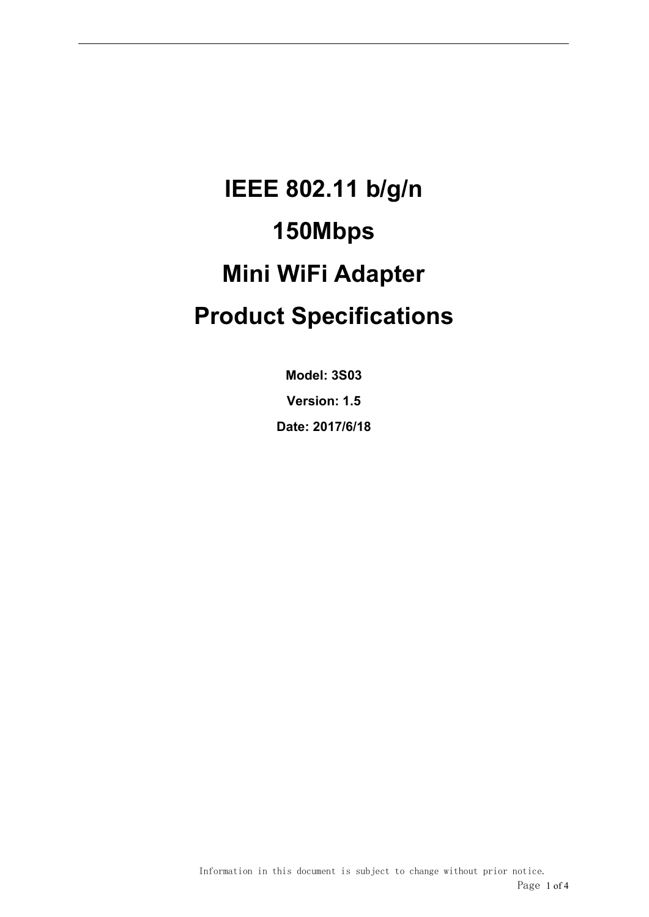# **IEEE 802.11 b/g/n 150Mbps Mini WiFi Adapter Product Specifications**

**Model: 3S03 Version: 1.5 Date: 2017/6/18**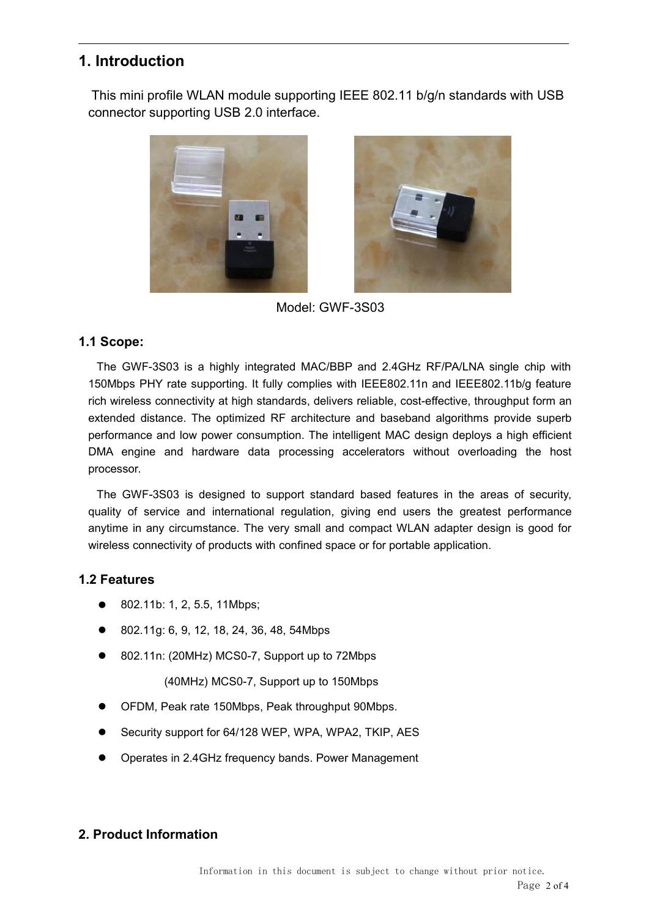# **1. Introduction**

This mini profile WLAN module supporting IEEE 802.11 b/g/n standards with USB connector supporting USB 2.0 interface.





Model: GWF-3S03

## **1.1 Scope:**

The GWF-3S03 is a highly integrated MAC/BBP and 2.4GHz RF/PA/LNA single chip with 150Mbps PHY rate supporting. It fully complies with IEEE802.11n and IEEE802.11b/g feature rich wireless connectivity at high standards, delivers reliable, cost-effective, throughput form an extended distance. The optimized RF architecture and baseband algorithms provide superb performance and low power consumption. The intelligent MAC design deploys a high efficient DMA engine and hardware data processing accelerators without overloading the host processor.

The GWF-3S03 is designed to support standard based features in the areas of security, quality of service and international regulation, giving end users the greatest performance anytime in any circumstance. The very small and compact WLAN adapter design is good for wireless connectivity of products with confined space or for portable application.

# **1.2 Features**

- 802.11b: 1, 2, 5.5, 11Mbps;
- 802.11g: 6, 9, 12, 18, 24, 36, 48, 54Mbps
- 802.11n: (20MHz) MCS0-7, Support up to 72Mbps

(40MHz) MCS0-7, Support up to 150Mbps

- OFDM, Peak rate 150Mbps, Peak throughput 90Mbps.
- Security support for 64/128 WEP, WPA, WPA2, TKIP, AES
- Operates in 2.4GHz frequency bands. Power Management

## **2. Product Information**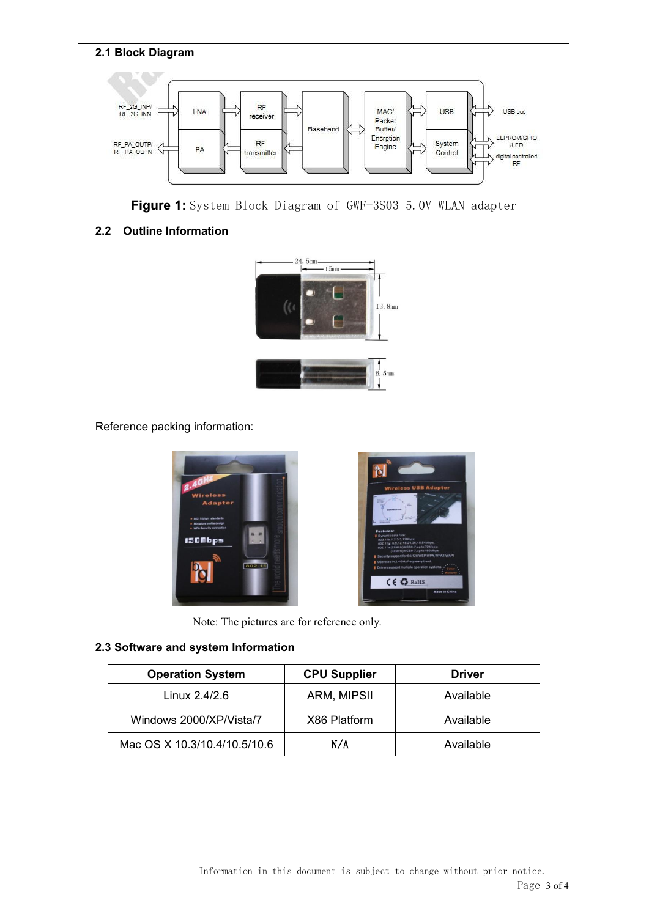#### **2.1 Block Diagram**





#### **2.2 Outline Information**



Reference packing information:



Note: The pictures are for reference only.

#### **2.3 Software and system Information**

| <b>Operation System</b>      | <b>CPU Supplier</b> | <b>Driver</b> |
|------------------------------|---------------------|---------------|
| Linux 2.4/2.6                | ARM, MIPSII         | Available     |
| Windows 2000/XP/Vista/7      | X86 Platform        | Available     |
| Mac OS X 10.3/10.4/10.5/10.6 | N/A                 | Available     |